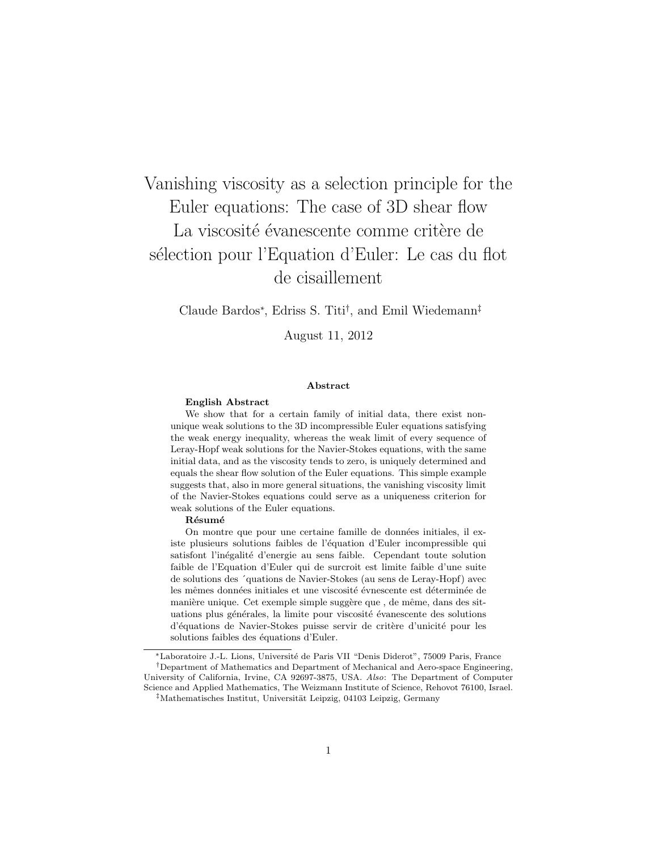# Vanishing viscosity as a selection principle for the Euler equations: The case of 3D shear flow La viscosité évanescente comme critère de s'election pour l'Equation d'Euler: Le cas du flot de cisaillement

Claude Bardos∗, Edriss S. Titi†, and Emil Wiedemann‡

August 11, 2012

### Abstract

### English Abstract

We show that for a certain family of initial data, there exist nonunique weak solutions to the 3D incompressible Euler equations satisfying the weak energy inequality, whereas the weak limit of every sequence of Leray-Hopf weak solutions for the Navier-Stokes equations, with the same initial data, and as the viscosity tends to zero, is uniquely determined and equals the shear flow solution of the Euler equations. This simple example suggests that, also in more general situations, the vanishing viscosity limit of the Navier-Stokes equations could serve as a uniqueness criterion for weak solutions of the Euler equations.

#### Résumé

On montre que pour une certaine famille de données initiales, il existe plusieurs solutions faibles de l'équation d'Euler incompressible qui satisfont l'inégalité d'energie au sens faible. Cependant toute solution faible de l'Equation d'Euler qui de surcroit est limite faible d'une suite de solutions des ´quations de Navier-Stokes (au sens de Leray-Hopf) avec les mêmes données initiales et une viscosité évnescente est déterminée de manière unique. Cet exemple simple suggère que, de même, dans des situations plus générales, la limite pour viscosité évanescente des solutions d'équations de Navier-Stokes puisse servir de critère d'unicité pour les solutions faibles des équations d'Euler.

∗Laboratoire J.-L. Lions, Universit´e de Paris VII "Denis Diderot", 75009 Paris, France

 $^\dagger$ Department of Mathematics and Department of Mechanical and Aero-space Engineering, University of California, Irvine, CA 92697-3875, USA. *Also*: The Department of Computer Science and Applied Mathematics, The Weizmann Institute of Science, Rehovot 76100, Israel.

 $\frac{1}{4}$ Mathematisches Institut, Universität Leipzig, 04103 Leipzig, Germany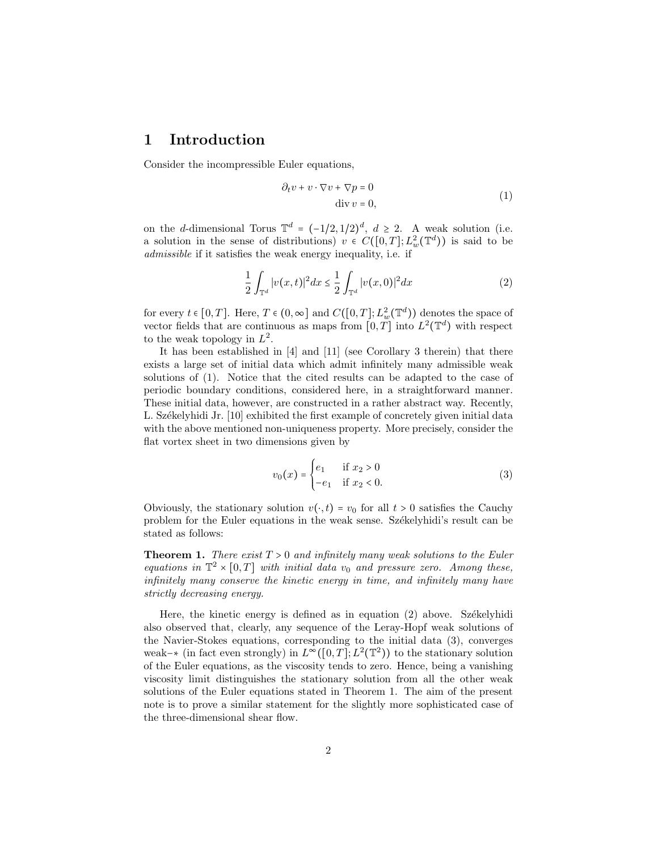# 1 Introduction

Consider the incompressible Euler equations,

$$
\partial_t v + v \cdot \nabla v + \nabla p = 0
$$
  
div  $v = 0$ , (1)

on the *d*-dimensional Torus  $\mathbb{T}^d = (-1/2, 1/2)^d$ ,  $d \geq 2$ . A weak solution (i.e. a solution in the sense of distributions)  $v \in C([0,T]; L^2_w(\mathbb{T}^d))$  is said to be *admissible* if it satisfies the weak energy inequality, i.e. if

$$
\frac{1}{2} \int_{\mathbb{T}^d} |v(x,t)|^2 dx \le \frac{1}{2} \int_{\mathbb{T}^d} |v(x,0)|^2 dx \tag{2}
$$

for every  $t \in [0, T]$ . Here,  $T \in (0, \infty]$  and  $C([0, T]; L^2_w(\mathbb{T}^d))$  denotes the space of vector fields that are continuous as maps from  $[0, T]$  into  $L^2(\mathbb{T}^d)$  with respect to the weak topology in  $L^2$ .

It has been established in [4] and [11] (see Corollary 3 therein) that there exists a large set of initial data which admit infinitely many admissible weak solutions of (1). Notice that the cited results can be adapted to the case of periodic boundary conditions, considered here, in a straightforward manner. These initial data, however, are constructed in a rather abstract way. Recently, L. Székelyhidi Jr.  $[10]$  exhibited the first example of concretely given initial data with the above mentioned non-uniqueness property. More precisely, consider the flat vortex sheet in two dimensions given by

$$
v_0(x) = \begin{cases} e_1 & \text{if } x_2 > 0 \\ -e_1 & \text{if } x_2 < 0. \end{cases}
$$
 (3)

Obviously, the stationary solution  $v(\cdot, t) = v_0$  for all  $t > 0$  satisfies the Cauchy problem for the Euler equations in the weak sense. Sz´ekelyhidi's result can be stated as follows:

Theorem 1. *There exist T* > 0 *and infinitely many weak solutions to the Euler equations in*  $\mathbb{T}^2 \times [0,T]$  *with initial data*  $v_0$  *and pressure zero. Among these, infinitely many conserve the kinetic energy in time, and infinitely many have strictly decreasing energy.*

Here, the kinetic energy is defined as in equation  $(2)$  above. Székelyhidi also observed that, clearly, any sequence of the Leray-Hopf weak solutions of the Navier-Stokes equations, corresponding to the initial data (3), converges weak–∗ (in fact even strongly) in  $L^{\infty}([0,T]; L^2(\mathbb{T}^2))$  to the stationary solution of the Euler equations, as the viscosity tends to zero. Hence, being a vanishing viscosity limit distinguishes the stationary solution from all the other weak solutions of the Euler equations stated in Theorem 1. The aim of the present note is to prove a similar statement for the slightly more sophisticated case of the three-dimensional shear flow.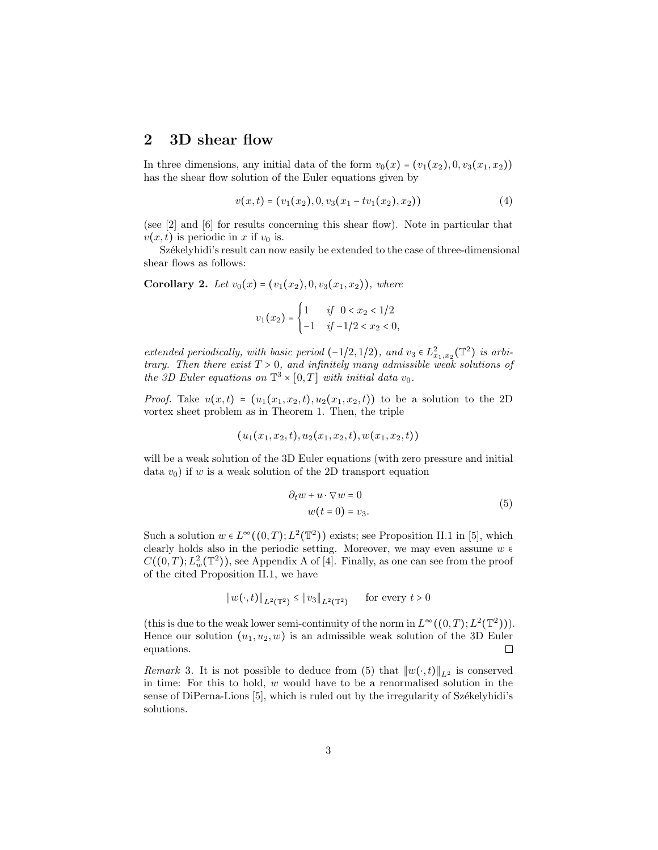### 2 3D shear flow

In three dimensions, any initial data of the form  $v_0(x) = (v_1(x_2), 0, v_3(x_1, x_2))$ has the shear flow solution of the Euler equations given by

$$
v(x,t) = (v_1(x_2), 0, v_3(x_1 - tv_1(x_2), x_2))
$$
\n(4)

(see [2] and [6] for results concerning this shear flow). Note in particular that  $v(x, t)$  is periodic in *x* if  $v<sub>0</sub>$  is.

Székelyhidi's result can now easily be extended to the case of three-dimensional shear flows as follows:

**Corollary 2.** *Let*  $v_0(x) = (v_1(x_2), 0, v_3(x_1, x_2))$ *, where* 

$$
v_1(x_2) = \begin{cases} 1 & \text{if } 0 < x_2 < 1/2 \\ -1 & \text{if } -1/2 < x_2 < 0, \end{cases}
$$

*extended periodically, with basic period* (−1/2*,* 1/2)*, and*  $v_3 \in L^2_{x_1,x_2}(\mathbb{T}^2)$  *is arbitrary. Then there exist T* > 0*, and infinitely many admissible weak solutions of the 3D Euler equations on*  $\mathbb{T}^3 \times [0,T]$  *with initial data*  $v_0$ *.* 

*Proof.* Take  $u(x,t) = (u_1(x_1, x_2, t), u_2(x_1, x_2, t))$  to be a solution to the 2D vortex sheet problem as in Theorem 1. Then, the triple

$$
(u_1(x_1,x_2,t),u_2(x_1,x_2,t),w(x_1,x_2,t))
$$

will be a weak solution of the 3D Euler equations (with zero pressure and initial data  $v_0$ ) if  $w$  is a weak solution of the 2D transport equation

$$
\partial_t w + u \cdot \nabla w = 0
$$
  
 
$$
w(t = 0) = v_3.
$$
 (5)

Such a solution  $w \in L^{\infty}((0,T); L^2(\mathbb{T}^2))$  exists; see Proposition II.1 in [5], which clearly holds also in the periodic setting. Moreover, we may even assume  $w \in$  $C((0,T); L^2_w(\mathbb{T}^2))$ , see Appendix A of [4]. Finally, as one can see from the proof of the cited Proposition II.1, we have

$$
||w(\cdot, t)||_{L^2(\mathbb{T}^2)} \le ||v_3||_{L^2(\mathbb{T}^2)}
$$
 for every  $t > 0$ 

(this is due to the weak lower semi-continuity of the norm in  $L^{\infty}((0,T); L^2(\mathbb{T}^2))$ ). Hence our solution  $(u_1, u_2, w)$  is an admissible weak solution of the 3D Euler equations. equations.

*Remark* 3. It is not possible to deduce from (5) that  $||w(\cdot,t)||_{L^2}$  is conserved in time: For this to hold, *w* would have to be a renormalised solution in the sense of DiPerna-Lions [5], which is ruled out by the irregularity of Székelyhidi's solutions.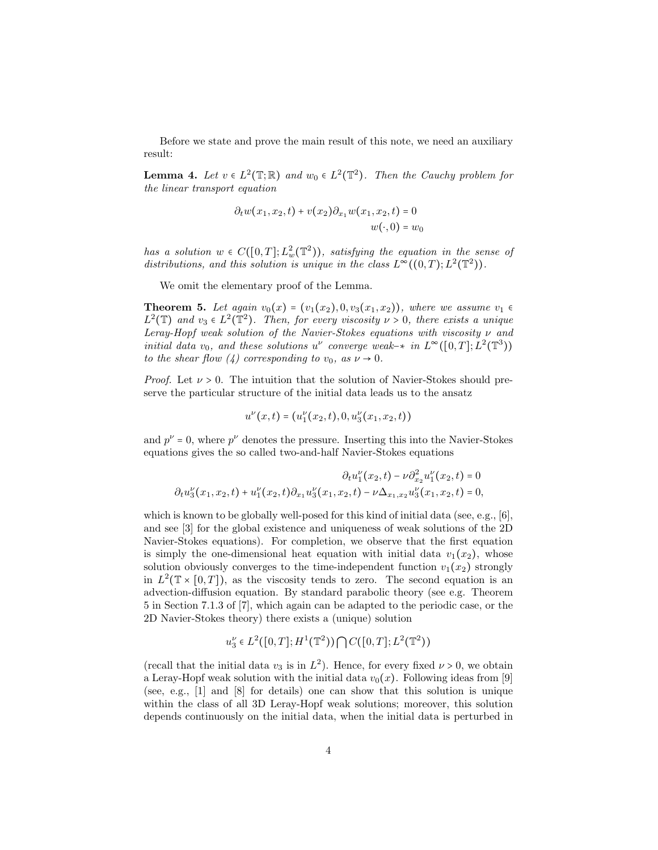Before we state and prove the main result of this note, we need an auxiliary result:

**Lemma 4.** *Let*  $v \in L^2(\mathbb{T}; \mathbb{R})$  *and*  $w_0 \in L^2(\mathbb{T}^2)$ *. Then the Cauchy problem for the linear transport equation*

$$
\partial_t w(x_1, x_2, t) + v(x_2) \partial_{x_1} w(x_1, x_2, t) = 0
$$
  

$$
w(\cdot, 0) = w_0
$$

*has a solution*  $w \in C([0,T]; L^2_w(\mathbb{T}^2))$ *, satisfying the equation in the sense of distributions, and this solution is unique in the class*  $L^{\infty}((0,T); L^2(\mathbb{T}^2))$ .

We omit the elementary proof of the Lemma.

**Theorem 5.** Let again  $v_0(x) = (v_1(x_2), 0, v_3(x_1, x_2))$ , where we assume  $v_1 \in$  $L^2(\mathbb{T})$  *and*  $v_3 \in L^2(\mathbb{T}^2)$ *. Then, for every viscosity*  $\nu > 0$ *, there exists a unique Leray-Hopf weak solution of the Navier-Stokes equations with viscosity*  $\nu$  and *initial data*  $v_0$ *, and these solutions*  $u^{\nu}$  *converge weak*-\* *in*  $L^{\infty}([0,T]; L^2(\mathbb{T}^3))$ *to the shear flow (4) corresponding to*  $v_0$ *, as*  $\nu \rightarrow 0$ *.* 

*Proof.* Let  $\nu > 0$ . The intuition that the solution of Navier-Stokes should preserve the particular structure of the initial data leads us to the ansatz

$$
u^{\nu}(x,t)=(u_1^{\nu}(x_2,t),0,u_3^{\nu}(x_1,x_2,t))
$$

and  $p^{\nu} = 0$ , where  $p^{\nu}$  denotes the pressure. Inserting this into the Navier-Stokes equations gives the so called two-and-half Navier-Stokes equations

$$
\partial_t u_1^{\nu}(x_2, t) - \nu \partial_{x_2}^2 u_1^{\nu}(x_2, t) = 0
$$
  

$$
\partial_t u_3^{\nu}(x_1, x_2, t) + u_1^{\nu}(x_2, t) \partial_{x_1} u_3^{\nu}(x_1, x_2, t) - \nu \Delta_{x_1, x_2} u_3^{\nu}(x_1, x_2, t) = 0,
$$

which is known to be globally well-posed for this kind of initial data (see, e.g., [6], and see [3] for the global existence and uniqueness of weak solutions of the 2D Navier-Stokes equations). For completion, we observe that the first equation is simply the one-dimensional heat equation with initial data  $v_1(x_2)$ , whose solution obviously converges to the time-independent function  $v_1(x_2)$  strongly in  $L^2(\mathbb{T} \times [0,T])$ , as the viscosity tends to zero. The second equation is an advection-diffusion equation. By standard parabolic theory (see e.g. Theorem 5 in Section 7.1.3 of [7], which again can be adapted to the periodic case, or the 2D Navier-Stokes theory) there exists a (unique) solution

$$
u_3^{\nu} \in L^2([0,T]; H^1(\mathbb{T}^2)) \bigcap C([0,T]; L^2(\mathbb{T}^2))
$$

(recall that the initial data  $v_3$  is in  $L^2$ ). Hence, for every fixed  $\nu > 0$ , we obtain a Leray-Hopf weak solution with the initial data  $v_0(x)$ . Following ideas from [9] (see, e.g., [1] and [8] for details) one can show that this solution is unique within the class of all 3D Leray-Hopf weak solutions; moreover, this solution depends continuously on the initial data, when the initial data is perturbed in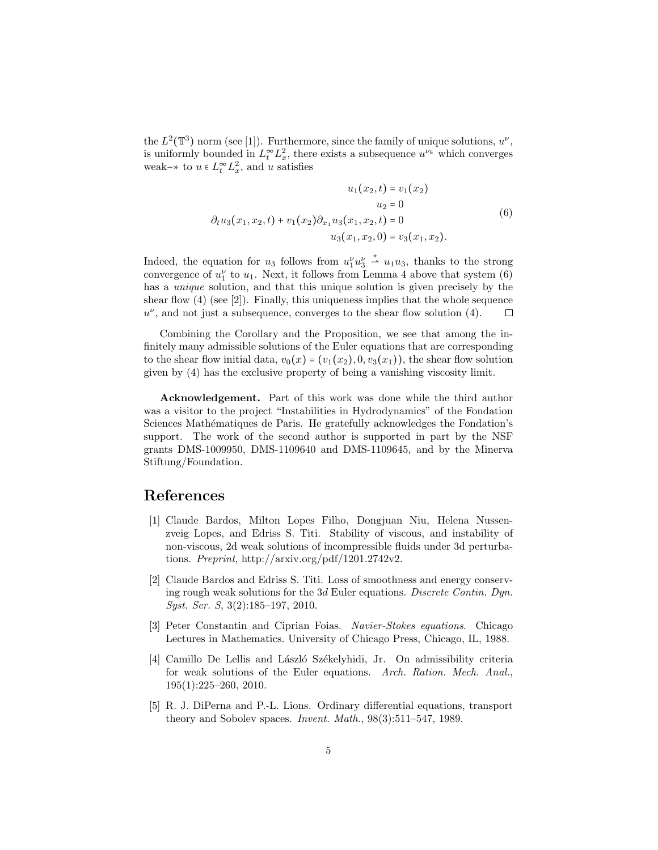the  $L^2(\mathbb{T}^3)$  norm (see [1]). Furthermore, since the family of unique solutions,  $u^{\nu}$ , is uniformly bounded in  $L_t^{\infty} L_x^2$ , there exists a subsequence  $u^{\nu_k}$  which converges weak<sup>-\*</sup> to  $u \in L_t^{\infty} L_x^2$ , and  $u$  satisfies

$$
u_1(x_2, t) = v_1(x_2)
$$
  
\n
$$
u_2 = 0
$$
  
\n
$$
\partial_t u_3(x_1, x_2, t) + v_1(x_2) \partial_{x_1} u_3(x_1, x_2, t) = 0
$$
  
\n
$$
u_3(x_1, x_2, 0) = v_3(x_1, x_2).
$$
\n(6)

Indeed, the equation for  $u_3$  follows from  $u_1^{\nu} u_3^{\nu} \stackrel{*}{\rightharpoonup} u_1 u_3$ , thanks to the strong convergence of  $u_1^{\nu}$  to  $u_1$ . Next, it follows from Lemma 4 above that system (6) has a *unique* solution, and that this unique solution is given precisely by the shear flow (4) (see [2]). Finally, this uniqueness implies that the whole sequence  $u^{\nu}$ , and not just a subsequence, converges to the shear flow solution (4).  $\Box$ 

Combining the Corollary and the Proposition, we see that among the infinitely many admissible solutions of the Euler equations that are corresponding to the shear flow initial data,  $v_0(x) = (v_1(x_2), 0, v_3(x_1))$ , the shear flow solution given by (4) has the exclusive property of being a vanishing viscosity limit.

Acknowledgement. Part of this work was done while the third author was a visitor to the project "Instabilities in Hydrodynamics" of the Fondation Sciences Mathématiques de Paris. He gratefully acknowledges the Fondation's support. The work of the second author is supported in part by the NSF grants DMS-1009950, DMS-1109640 and DMS-1109645, and by the Minerva Stiftung/Foundation.

## References

- [1] Claude Bardos, Milton Lopes Filho, Dongjuan Niu, Helena Nussenzveig Lopes, and Edriss S. Titi. Stability of viscous, and instability of non-viscous, 2d weak solutions of incompressible fluids under 3d perturbations. *Preprint*, http://arxiv.org/pdf/1201.2742v2.
- [2] Claude Bardos and Edriss S. Titi. Loss of smoothness and energy conserving rough weak solutions for the 3*d* Euler equations. *Discrete Contin. Dyn. Syst. Ser. S*, 3(2):185–197, 2010.
- [3] Peter Constantin and Ciprian Foias. *Navier-Stokes equations*. Chicago Lectures in Mathematics. University of Chicago Press, Chicago, IL, 1988.
- [4] Camillo De Lellis and László Székelyhidi, Jr. On admissibility criteria for weak solutions of the Euler equations. *Arch. Ration. Mech. Anal.*, 195(1):225–260, 2010.
- [5] R. J. DiPerna and P.-L. Lions. Ordinary differential equations, transport theory and Sobolev spaces. *Invent. Math.*, 98(3):511–547, 1989.